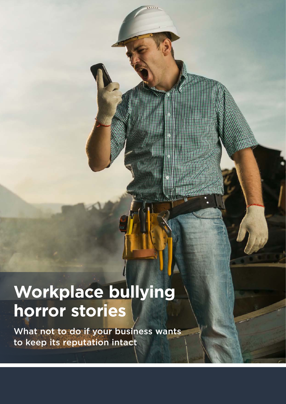# **Workplace bullying horror stories**

What not to do if your business wants to keep its reputation intact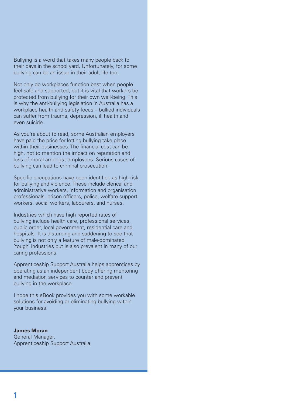Bullying is a word that takes many people back to their days in the school yard. Unfortunately, for some bullying can be an issue in their adult life too.

Not only do workplaces function best when people feel safe and supported, but it is vital that workers be protected from bullying for their own well-being. This is why the anti-bullying legislation in Australia has a workplace health and safety focus – bullied individuals can suffer from trauma, depression, ill health and even suicide.

As you're about to read, some Australian employers have paid the price for letting bullying take place within their businesses. The financial cost can be high, not to mention the impact on reputation and loss of moral amongst employees. Serious cases of bullying can lead to criminal prosecution.

Specific occupations have been identified as high-risk for bullying and violence. These include clerical and administrative workers, information and organisation professionals, prison officers, police, welfare support workers, social workers, labourers, and nurses.

Industries which have high reported rates of bullying include health care, professional services, public order, local government, residential care and hospitals. It is disturbing and saddening to see that bullying is not only a feature of male-dominated 'tough' industries but is also prevalent in many of our caring professions.

Apprenticeship Support Australia helps apprentices by operating as an independent body offering mentoring and mediation services to counter and prevent bullying in the workplace.

I hope this eBook provides you with some workable solutions for avoiding or eliminating bullying within your business.

**James Moran** General Manager, Apprenticeship Support Australia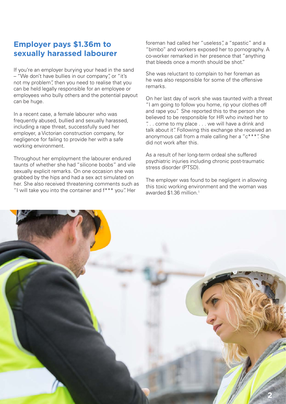# **Employer pays \$1.36m to sexually harassed labourer**

If you're an employer burying your head in the sand – "We don't have bullies in our company", or "it's not my problem", then you need to realise that you can be held legally responsible for an employee or employees who bully others and the potential payout can be huge.

In a recent case, a female labourer who was frequently abused, bullied and sexually harassed, including a rape threat, successfully sued her employer, a Victorian construction company, for negligence for failing to provide her with a safe working environment.

Throughout her employment the labourer endured taunts of whether she had "silicone boobs" and vile sexually explicit remarks. On one occasion she was grabbed by the hips and had a sex act simulated on her. She also received threatening comments such as "I will take you into the container and f\*\*\* you". Her

foreman had called her "useless", a "spastic" and a "bimbo" and workers exposed her to pornography. A co-worker remarked in her presence that "anything that bleeds once a month should be shot."

She was reluctant to complain to her foreman as he was also responsible for some of the offensive remarks.

On her last day of work she was taunted with a threat "I am going to follow you home, rip your clothes off and rape you". She reported this to the person she believed to be responsible for HR who invited her to ". . . come to my place . . . we will have a drink and talk about it". Following this exchange she received an anonymous call from a male calling her a "c\*\*\*". She did not work after this.

As a result of her long-term ordeal she suffered psychiatric injuries including chronic post-traumatic stress disorder (PTSD).

The employer was found to be negligent in allowing this toxic working environment and the woman was awarded \$1.36 million.<sup>1</sup>

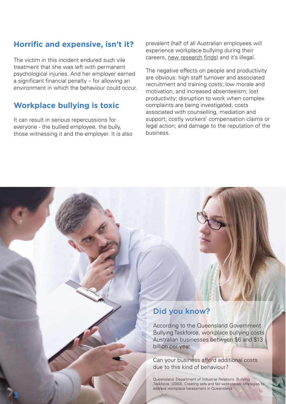# **Horrific and expensive, isn't it?**

The victim in this incident endured such vile treatment that she was left with permanent psychological injuries. And her employer earned a significant financial penalty – for allowing an environment in which the behaviour could occur.

# **Workplace bullying is toxic**

**3**

It can result in serious repercussions for everyone - the bullied employee, the bully, those witnessing it and the employer. It is also prevalent (half of all Australian employees will experience workplace bullying during their careers, [new research finds\)](http://www.abc.net.au/news/2016-10-09/half-all-australians-experience-workplace-bullying-survey-finds/7916230 9/half-all-australians-experience-workplace-bullying-survey-finds/7916230) and it's illegal.

The negative effects on people and productivity are obvious: high staff turnover and associated recruitment and training costs; low morale and motivation, and increased absenteeism; lost productivity; disruption to work when complex complaints are being investigated; costs associated with counselling, mediation and support; costly workers' compensation claims or legal action; and damage to the reputation of the business.

#### Did you know?

According to the Queensland Government Bullying Taskforce, workplace bullying costs Australian businesses between \$6 and \$13 billion per year.

Can your business afford additional costs due to this kind of behaviour?

Queensland. Department of Industrial Relations. Bullying Taskforce. (2002). Creating safe and fair workplaces: strategies to address workplace harassment in Queensland.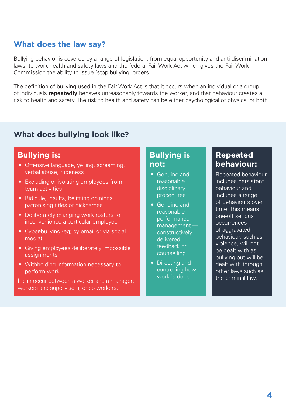# **What does the law say?**

Bullying behavior is covered by a range of legislation, from equal opportunity and anti-discrimination laws, to work health and safety laws and the federal Fair Work Act which gives the Fair Work Commission the ability to issue 'stop bullying' orders.

The definition of bullying used in the Fair Work Act is that it occurs when an individual or a group of individuals **repeatedly** behaves unreasonably towards the worker, and that behaviour creates a risk to health and safety. The risk to health and safety can be either psychological or physical or both.

# **What does bullying look like?**

#### **Bullying is:**

- Offensive language, yelling, screaming, verbal abuse, rudeness
- Excluding or isolating employees from team activities
- Ridicule, insults, belittling opinions, patronising titles or nicknames
- Deliberately changing work rosters to inconvenience a particular employee
- Cyber-bullying (eg; by email or via social media)
- Giving employees deliberately impossible assignments
- Withholding information necessary to perform work

It can occur between a worker and a manager; workers and supervisors, or co-workers.

### **Bullying is not:**

- Genuine and reasonable disciplinary procedures
- Genuine and reasonable performance management constructively delivered feedback or counselling
- Directing and controlling how work is done

### **Repeated behaviour:**

Repeated behaviour includes persistent behaviour and includes a range of behaviours over time. This means one-off serious occurrences of aggravated behaviour, such as violence, will not be dealt with as bullying but will be dealt with through other laws such as the criminal law.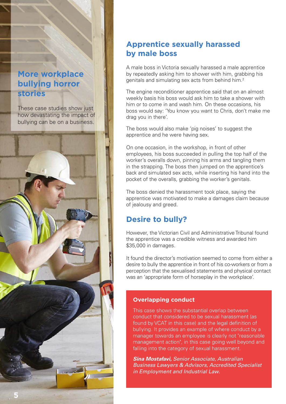# **More workplace bullying horror stories**

These case studies show just how devastating the impact of bullying can be on a business.



# **Apprentice sexually harassed by male boss**

A male boss in Victoria sexually harassed a male apprentice by repeatedly asking him to shower with him, grabbing his genitals and simulating sex acts from behind him.2

The engine reconditioner apprentice said that on an almost weekly basis his boss would ask him to take a shower with him or to come in and wash him. On these occasions, his boss would say: 'You know you want to Chris, don't make me drag you in there'.

The boss would also make 'pig noises' to suggest the apprentice and he were having sex.

On one occasion, in the workshop, in front of other employees, his boss succeeded in pulling the top half of the worker's overalls down, pinning his arms and tangling them in the strapping. The boss then jumped on the apprentice's back and simulated sex acts, while inserting his hand into the pocket of the overalls, grabbing the worker's genitals.

The boss denied the harassment took place, saying the apprentice was motivated to make a damages claim because of jealousy and greed.

# **Desire to bully?**

However, the Victorian Civil and Administrative Tribunal found the apprentice was a credible witness and awarded him \$35,000 in damages.

It found the director's motivation seemed to come from either a desire to bully the apprentice in front of his co-workers or from a perception that the sexualised statements and physical contact was an 'appropriate form of horseplay in the workplace'.

#### **Overlapping conduct**

This case shows the substantial overlap between conduct that considered to be sexual harassment (as found by VCAT in this case) and the legal definition of bullying. It provides an example of where conduct by a manager towards an employee is clearly not "reasonable management action", in this case going well beyond and falling into the category of sexual harassment.

*Sina Mostafavi, Senior Associate, Australian Business Lawyers & Advisors, Accredited Specialist in Employment and Industrial Law.*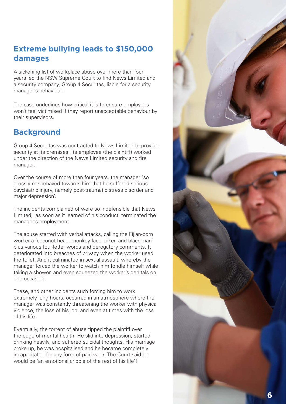# **Extreme bullying leads to \$150,000 damages**

A sickening list of workplace abuse over more than four years led the NSW Supreme Court to find News Limited and a security company, Group 4 Securitas, liable for a security manager's behaviour.

The case underlines how critical it is to ensure employees won't feel victimised if they report unacceptable behaviour by their supervisors.

# **Background**

Group 4 Securitas was contracted to News Limited to provide security at its premises. Its employee (the plaintiff) worked under the direction of the News Limited security and fire manager.

Over the course of more than four years, the manager 'so grossly misbehaved towards him that he suffered serious psychiatric injury, namely post-traumatic stress disorder and major depression'.

The incidents complained of were so indefensible that News Limited, as soon as it learned of his conduct, terminated the manager's employment.

The abuse started with verbal attacks, calling the Fijian-born worker a 'coconut head, monkey face, piker, and black man' plus various four-letter words and derogatory comments. It deteriorated into breaches of privacy when the worker used the toilet. And it culminated in sexual assault, whereby the manager forced the worker to watch him fondle himself while taking a shower, and even squeezed the worker's genitals on one occasion.

These, and other incidents such forcing him to work extremely long hours, occurred in an atmosphere where the manager was constantly threatening the worker with physical violence, the loss of his job, and even at times with the loss of his life.

Eventually, the torrent of abuse tipped the plaintiff over the edge of mental health. He slid into depression, started drinking heavily, and suffered suicidal thoughts. His marriage broke up, he was hospitalised and he became completely incapacitated for any form of paid work. The Court said he would be 'an emotional cripple of the rest of his life'!

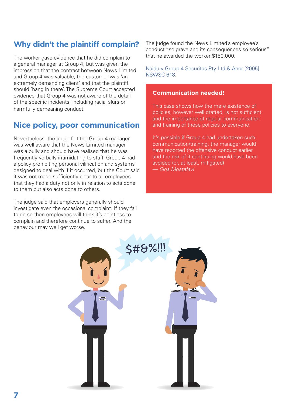# **Why didn't the plaintiff complain?**

The worker gave evidence that he did complain to a general manager at Group 4, but was given the impression that the contract between News Limited and Group 4 was valuable, the customer was 'an extremely demanding client' and that the plaintiff should 'hang in there'. The Supreme Court accepted evidence that Group 4 was not aware of the detail of the specific incidents, including racial slurs or harmfully demeaning conduct.

# **Nice policy, poor communication**

Nevertheless, the judge felt the Group 4 manager was well aware that the News Limited manager was a bully and should have realised that he was frequently verbally intimidating to staff. Group 4 had a policy prohibiting personal vilification and systems designed to deal with if it occurred, but the Court said it was not made sufficiently clear to all employees that they had a duty not only in relation to acts done to them but also acts done to others.

The judge said that employers generally should investigate even the occasional complaint. If they fail to do so then employees will think it's pointless to complain and therefore continue to suffer. And the behaviour may well get worse.

The judge found the News Limited's employee's conduct "so grave and its consequences so serious" that he awarded the worker \$150,000.

[Naidu v Group 4 Securitas Pty Ltd & Anor \[2005\]](http://www.agd.nsw.gov.au/scjudgments/2005nswsc.nsf/66950614059df523ca25673900081e8e/91e77edad2fcc31dca25702a000edd21?OpenDocument)  [NSWSC 618](http://www.agd.nsw.gov.au/scjudgments/2005nswsc.nsf/66950614059df523ca25673900081e8e/91e77edad2fcc31dca25702a000edd21?OpenDocument).

#### **Communication needed!**

This case shows how the mere existence of policies, however well drafted, is not sufficient and the importance of regular communication and training of these policies to everyone.

It's possible if Group 4 had undertaken such communication/training, the manager would have reported the offensive conduct earlier and the risk of it continuing would have been avoided (or, at least, mitigated) — *Sina Mostafavi*

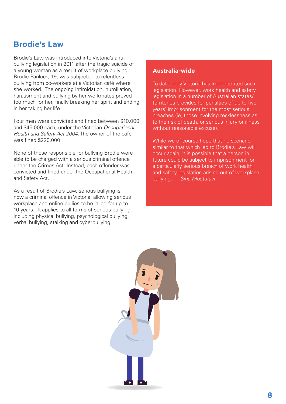### **Brodie's Law**

Brodie's Law was introduced into Victoria's antibullying legislation in 2011 after the tragic suicide of a young woman as a result of workplace bullying. Brodie Panlock, 19, was subjected to relentless bullying from co-workers at a Victorian café where she worked. The ongoing intimidation, humiliation, harassment and bullying by her workmates proved too much for her, finally breaking her spirit and ending in her taking her life.

Four men were convicted and fined between \$10,000 and \$45,000 each, under the Victorian *Occupational Health and Safety Act 2004*. The owner of the café was fined \$220,000.

None of those responsible for bullying Brodie were able to be charged with a serious criminal offence under the Crimes Act. Instead, each offender was convicted and fined under the Occupational Health and Safety Act.

As a result of Brodie's Law, serious bullying is now a criminal offence in Victoria, allowing serious workplace and online bullies to be jailed for up to 10 years. It applies to all forms of serious bullying, including physical bullying, psychological bullying, verbal bullying, stalking and cyberbullying.

#### **Australia-wide**

To date, only Victoria has implemented such legislation. However, work health and safety legislation in a number of Australian states/ territories provides for penalties of up to five years' imprisonment for the most serious breaches (ie, those involving recklessness as to the risk of death, or serious injury or illness without reasonable excuse).

While we of course hope that no scenario similar to that which led to Brodie's Law will occur again, it is possible that a person in future could be subject to imprisonment for a particularly serious breach of work health and safety legislation arising out of workplace bullying. — *Sina Mostafavi*

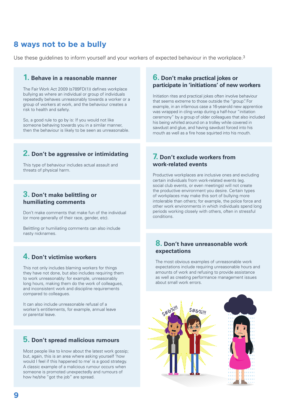# **8 ways not to be a bully**

Use these guidelines to inform yourself and your workers of expected behaviour in the workplace.<sup>3</sup>

#### **1. Behave in a reasonable manner**

The Fair Work Act 2009 (s789FD(1)) defines workplace bullying as where an individual or group of individuals repeatedly behaves unreasonably towards a worker or a group of workers at work, and the behaviour creates a risk to health and safety.

So, a good rule to go by is: If you would not like someone behaving towards you in a similar manner, then the behaviour is likely to be seen as unreasonable.

#### **2. Don't be aggressive or intimidating**

This type of behaviour includes actual assault and threats of physical harm.

#### **3. Don't make belittling or humiliating comments**

Don't make comments that make fun of the individual (or more generally of their race, gender, etc).

Belittling or humiliating comments can also include nasty nicknames.

#### **4. Don't victimise workers**

This not only includes blaming workers for things they have not done, but also includes requiring them to work unreasonably: for example, unreasonably long hours, making them do the work of colleagues, and inconsistent work and discipline requirements compared to colleagues.

It can also include unreasonable refusal of a worker's entitlements, for example, annual leave or parental leave.

#### **5. Don't spread malicious rumours**

Most people like to know about the latest work gossip; but, again, this is an area where asking yourself 'how would I feel if this happened to me' is a good strategy. A classic example of a malicious rumour occurs when someone is promoted unexpectedly and rumours of how he/she "got the job" are spread.

#### **6. Don't make practical jokes or participate in 'initiations' of new workers**

Initiation rites and practical jokes often involve behaviour that seems extreme to those outside the "group". For example, in an infamous case a 16-year-old new apprentice was wrapped in cling wrap during a half-hour "initiation ceremony" by a group of older colleagues that also included his being whirled around on a trolley while covered in sawdust and glue, and having sawdust forced into his mouth as well as a fire hose squirted into his mouth.

#### **7. Don't exclude workers from work-related events**

Productive workplaces are inclusive ones and excluding certain individuals from work-related events (eg. social club events, or even meetings) will not create the productive environment you desire. Certain types of workplaces may make this sort of bullying more intolerable than others; for example, the police force and other work environments in which individuals spend long periods working closely with others, often in stressful conditions.

#### **8. Don't have unreasonable work expectations**

The most obvious examples of unreasonable work expectations include requiring unreasonable hours and amounts of work and refusing to provide assistance as well as creating performance management issues about small work errors.

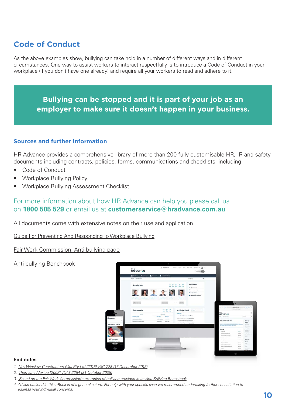# **Code of Conduct**

As the above examples show, bullying can take hold in a number of different ways and in different circumstances. One way to assist workers to interact respectfully is to introduce a Code of Conduct in your workplace (if you don't have one already) and require all your workers to read and adhere to it.

### **Bullying can be stopped and it is part of your job as an employer to make sure it doesn't happen in your business.**

#### **Sources and further information**

[HR Advance](file:///\\bch-dcb-fs01\home$\williaa\HRA\Hradvance.com.au) provides a comprehensive library of more than 200 fully customisable HR, IR and safety documents including contracts, policies, forms, communications and checklists, including:

- [Code of Conduct](http://hradvance.com.au/Vault/Global/Policies/Code-of-Conduct)
- [Workplace Bullying Policy](http://hradvance.com.au/Vault/Global/Policies/Workplace-Bullying-Policy)
- [Workplace Bullying Assessment Checklist](http://hradvance.com.au/Vault/Global/Checklists/Workplace-Bullying-Assessment-Checklist)

#### For more information about how HR Advance can help you please call us on **1800 505 529** or email us at **[customerservice@hradvance.com.au](mailto:customerservice%40hradvance.com.au?subject=)**

All documents come with extensive notes on their use and application.

[Guide For Preventing And Responding To Workplace Bullying](http://www.safeworkaustralia.gov.au/sites/SWA/about/Publications/Documents/827/Guide-preventing-responding-workplace-bullying.pdf)

[Fair Work Commission: Anti-bullying page](https://www.fwc.gov.au/disputes-at-work/anti-bullying)

#### [Anti-bullying Benchbook](http://benchbooks.fwc.gov.au/antibullying/assets/File/ABBenchbook.pdf)



#### **End notes**

- *1. [M v Winslow Constructors \(Vic\) Pty Ltd \[2015\] VSC 728 \(17 December 2015\)](http://www.austlii.edu.au/au/cases/vic/VSC/2015/728.html)*
- *2. [Thomas v Alexiou \[2008\] VCAT 2264 \(31 October 2008\)](http://www.austlii.edu.au/au/cases/vic/VCAT/2008/2264.html)*

*\* Advice outlined in this eBook is of a general nature. For help with your specific case we recommend undertaking further consultation to address your individual concerns.*

*<sup>3.</sup> Based on the Fair Work Commission's examples of bullying provided in its [Anti-Bullying Benchbook](http://benchbooks.fwc.gov.au/anti-bullying/)*